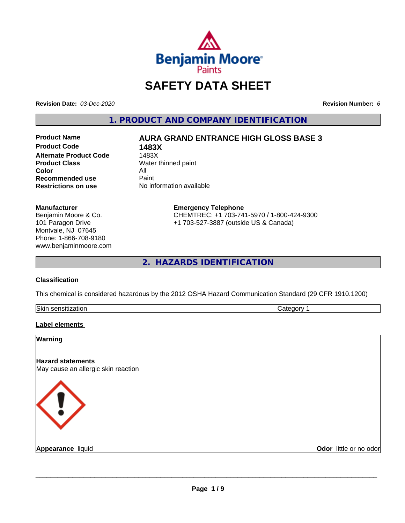

# **SAFETY DATA SHEET**

**Revision Date:** *03-Dec-2020* **Revision Number:** *6*

**1. PRODUCT AND COMPANY IDENTIFICATION**

**Product Code 1483X Alternate Product Code**<br>Product Class **Color** All<br> **Recommended use** Paint **Recommended use**<br>Restrictions on use

## **Product Name AURA GRAND ENTRANCE HIGH GLOSS BASE 3**

**Water thinned paint Restrictions on use** No information available

#### **Manufacturer**

Benjamin Moore & Co. 101 Paragon Drive Montvale, NJ 07645 Phone: 1-866-708-9180 www.benjaminmoore.com

## **Emergency Telephone** CHEMTREC: +1 703-741-5970 / 1-800-424-9300

+1 703-527-3887 (outside US & Canada)

**2. HAZARDS IDENTIFICATION**

#### **Classification**

This chemical is considered hazardous by the 2012 OSHA Hazard Communication Standard (29 CFR 1910.1200)

| <b>Skir</b><br>.<br>- 11 | . . |
|--------------------------|-----|

#### **Label elements**

| Warning                                                         |                        |
|-----------------------------------------------------------------|------------------------|
| <b>Hazard statements</b><br>May cause an allergic skin reaction |                        |
| K ! .                                                           |                        |
| <b>Appearance liquid</b>                                        | Odor little or no odor |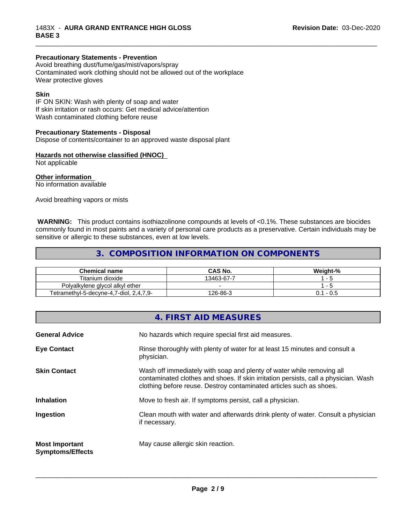#### **Precautionary Statements - Prevention**

Avoid breathing dust/fume/gas/mist/vapors/spray Contaminated work clothing should not be allowed out of the workplace Wear protective gloves

#### **Skin**

IF ON SKIN: Wash with plenty of soap and water If skin irritation or rash occurs: Get medical advice/attention Wash contaminated clothing before reuse

#### **Precautionary Statements - Disposal**

Dispose of contents/container to an approved waste disposal plant

#### **Hazards not otherwise classified (HNOC)**

Not applicable

**Other information**

No information available

Avoid breathing vapors or mists

 **WARNING:** This product contains isothiazolinone compounds at levels of <0.1%. These substances are biocides commonly found in most paints and a variety of personal care products as a preservative. Certain individuals may be sensitive or allergic to these substances, even at low levels.

\_\_\_\_\_\_\_\_\_\_\_\_\_\_\_\_\_\_\_\_\_\_\_\_\_\_\_\_\_\_\_\_\_\_\_\_\_\_\_\_\_\_\_\_\_\_\_\_\_\_\_\_\_\_\_\_\_\_\_\_\_\_\_\_\_\_\_\_\_\_\_\_\_\_\_\_\_\_\_\_\_\_\_\_\_\_\_\_\_\_\_\_\_

## **3. COMPOSITION INFORMATION ON COMPONENTS**

| <b>Chemical name</b>                              | <b>CAS No.</b> | Weight-%     |
|---------------------------------------------------|----------------|--------------|
| Titanium dioxide                                  | 13463-67-7     |              |
| Polyalkylene glycol alkyl ether                   |                |              |
| $1,7$ -diol, 2,4,7,9-<br>Tetramethyl-5-decyne-4,7 | 126-86-3       | - U.5<br>J.I |

|                                                  | 4. FIRST AID MEASURES                                                                                                                                                                                                               |
|--------------------------------------------------|-------------------------------------------------------------------------------------------------------------------------------------------------------------------------------------------------------------------------------------|
| <b>General Advice</b>                            | No hazards which require special first aid measures.                                                                                                                                                                                |
| <b>Eye Contact</b>                               | Rinse thoroughly with plenty of water for at least 15 minutes and consult a<br>physician.                                                                                                                                           |
| <b>Skin Contact</b>                              | Wash off immediately with soap and plenty of water while removing all<br>contaminated clothes and shoes. If skin irritation persists, call a physician. Wash<br>clothing before reuse. Destroy contaminated articles such as shoes. |
| <b>Inhalation</b>                                | Move to fresh air. If symptoms persist, call a physician.                                                                                                                                                                           |
| Ingestion                                        | Clean mouth with water and afterwards drink plenty of water. Consult a physician<br>if necessary.                                                                                                                                   |
| <b>Most Important</b><br><b>Symptoms/Effects</b> | May cause allergic skin reaction.                                                                                                                                                                                                   |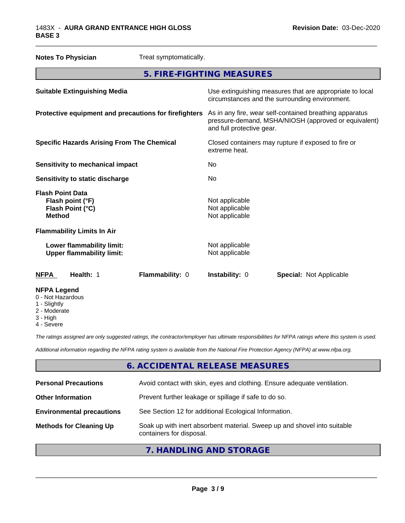| <b>Notes To Physician</b>                                                        | Treat symptomatically. |                                                                      |                                                                                                                 |  |
|----------------------------------------------------------------------------------|------------------------|----------------------------------------------------------------------|-----------------------------------------------------------------------------------------------------------------|--|
| 5. FIRE-FIGHTING MEASURES                                                        |                        |                                                                      |                                                                                                                 |  |
| <b>Suitable Extinguishing Media</b>                                              |                        |                                                                      | Use extinguishing measures that are appropriate to local<br>circumstances and the surrounding environment.      |  |
| Protective equipment and precautions for firefighters                            |                        | and full protective gear.                                            | As in any fire, wear self-contained breathing apparatus<br>pressure-demand, MSHA/NIOSH (approved or equivalent) |  |
| <b>Specific Hazards Arising From The Chemical</b>                                |                        | Closed containers may rupture if exposed to fire or<br>extreme heat. |                                                                                                                 |  |
| <b>Sensitivity to mechanical impact</b>                                          |                        | No                                                                   |                                                                                                                 |  |
| Sensitivity to static discharge                                                  |                        | No                                                                   |                                                                                                                 |  |
| <b>Flash Point Data</b><br>Flash point (°F)<br>Flash Point (°C)<br><b>Method</b> |                        | Not applicable<br>Not applicable<br>Not applicable                   |                                                                                                                 |  |
| <b>Flammability Limits In Air</b>                                                |                        |                                                                      |                                                                                                                 |  |
| Lower flammability limit:<br><b>Upper flammability limit:</b>                    |                        | Not applicable<br>Not applicable                                     |                                                                                                                 |  |
| Health: 1<br><b>NFPA</b>                                                         | Flammability: 0        | <b>Instability: 0</b>                                                | <b>Special: Not Applicable</b>                                                                                  |  |
| <b>NFPA Legend</b><br>0 - Not Hazardous                                          |                        |                                                                      |                                                                                                                 |  |

\_\_\_\_\_\_\_\_\_\_\_\_\_\_\_\_\_\_\_\_\_\_\_\_\_\_\_\_\_\_\_\_\_\_\_\_\_\_\_\_\_\_\_\_\_\_\_\_\_\_\_\_\_\_\_\_\_\_\_\_\_\_\_\_\_\_\_\_\_\_\_\_\_\_\_\_\_\_\_\_\_\_\_\_\_\_\_\_\_\_\_\_\_

- 1 Slightly
- 2 Moderate
- 3 High
- 4 Severe

*The ratings assigned are only suggested ratings, the contractor/employer has ultimate responsibilities for NFPA ratings where this system is used.*

*Additional information regarding the NFPA rating system is available from the National Fire Protection Agency (NFPA) at www.nfpa.org.*

## **6. ACCIDENTAL RELEASE MEASURES**

| <b>Personal Precautions</b>      | Avoid contact with skin, eyes and clothing. Ensure adequate ventilation.                             |
|----------------------------------|------------------------------------------------------------------------------------------------------|
| <b>Other Information</b>         | Prevent further leakage or spillage if safe to do so.                                                |
| <b>Environmental precautions</b> | See Section 12 for additional Ecological Information.                                                |
| <b>Methods for Cleaning Up</b>   | Soak up with inert absorbent material. Sweep up and shovel into suitable<br>containers for disposal. |
|                                  |                                                                                                      |

## **7. HANDLING AND STORAGE**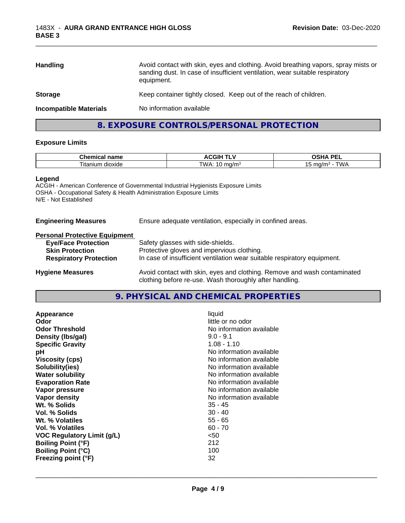| <b>Handling</b>               | Avoid contact with skin, eyes and clothing. Avoid breathing vapors, spray mists or<br>sanding dust. In case of insufficient ventilation, wear suitable respiratory<br>equipment. |  |
|-------------------------------|----------------------------------------------------------------------------------------------------------------------------------------------------------------------------------|--|
| <b>Storage</b>                | Keep container tightly closed. Keep out of the reach of children.                                                                                                                |  |
| <b>Incompatible Materials</b> | No information available                                                                                                                                                         |  |
|                               |                                                                                                                                                                                  |  |

\_\_\_\_\_\_\_\_\_\_\_\_\_\_\_\_\_\_\_\_\_\_\_\_\_\_\_\_\_\_\_\_\_\_\_\_\_\_\_\_\_\_\_\_\_\_\_\_\_\_\_\_\_\_\_\_\_\_\_\_\_\_\_\_\_\_\_\_\_\_\_\_\_\_\_\_\_\_\_\_\_\_\_\_\_\_\_\_\_\_\_\_\_

## **8. EXPOSURE CONTROLS/PERSONAL PROTECTION**

#### **Exposure Limits**

| <b>Chemical name</b> | <b>ACGIH T' `</b>   | <b>DEI</b><br>^פ⊔∧<br>- - -<br>.                     |
|----------------------|---------------------|------------------------------------------------------|
| dioxide<br>ı itanıum | <b>TIMA</b><br>ിd/m | $\mathbf{r}$<br>ma/m <sup>3</sup><br>v<br><b>v</b> v |

#### **Legend**

ACGIH - American Conference of Governmental Industrial Hygienists Exposure Limits OSHA - Occupational Safety & Health Administration Exposure Limits N/E - Not Established

#### **Engineering Measures** Ensure adequate ventilation, especially in confined areas.

#### **Personal Protective Equipment**

| <b>Eye/Face Protection</b>    | Safety glasses with side-shields.                                        |
|-------------------------------|--------------------------------------------------------------------------|
| <b>Skin Protection</b>        | Protective gloves and impervious clothing.                               |
| <b>Respiratory Protection</b> | In case of insufficient ventilation wear suitable respiratory equipment. |
| <b>Hygiene Measures</b>       | Avoid contact with skin, eyes and clothing. Remove and wash contaminated |

## **9. PHYSICAL AND CHEMICAL PROPERTIES**

clothing before re-use. Wash thoroughly after handling.

| Appearance<br>Odor                | liquid<br>little or no odor |
|-----------------------------------|-----------------------------|
| <b>Odor Threshold</b>             | No information available    |
| Density (Ibs/gal)                 | $9.0 - 9.1$                 |
| <b>Specific Gravity</b>           | $1.08 - 1.10$               |
| рH                                | No information available    |
| <b>Viscosity (cps)</b>            | No information available    |
| Solubility(ies)                   | No information available    |
| <b>Water solubility</b>           | No information available    |
| <b>Evaporation Rate</b>           | No information available    |
| Vapor pressure                    | No information available    |
| Vapor density                     | No information available    |
| Wt. % Solids                      | $35 - 45$                   |
| Vol. % Solids                     | $30 - 40$                   |
| Wt. % Volatiles                   | $55 - 65$                   |
| Vol. % Volatiles                  | $60 - 70$                   |
| <b>VOC Regulatory Limit (g/L)</b> | $50$                        |
| <b>Boiling Point (°F)</b>         | 212                         |
| <b>Boiling Point (°C)</b>         | 100                         |
| Freezing point (°F)               | 32                          |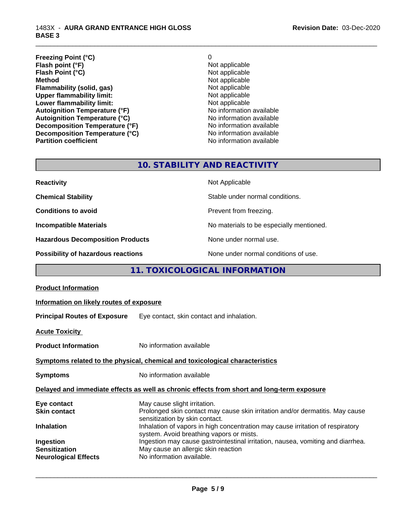| <b>Freezing Point (°C)</b>           | 0                        |
|--------------------------------------|--------------------------|
| Flash point (°F)                     | Not applicable           |
| Flash Point (°C)                     | Not applicable           |
| <b>Method</b>                        | Not applicable           |
| Flammability (solid, gas)            | Not applicable           |
| <b>Upper flammability limit:</b>     | Not applicable           |
| Lower flammability limit:            | Not applicable           |
| <b>Autoignition Temperature (°F)</b> | No information available |
| <b>Autoignition Temperature (°C)</b> | No information available |
| Decomposition Temperature (°F)       | No information available |
| Decomposition Temperature (°C)       | No information available |
| <b>Partition coefficient</b>         | No information available |

\_\_\_\_\_\_\_\_\_\_\_\_\_\_\_\_\_\_\_\_\_\_\_\_\_\_\_\_\_\_\_\_\_\_\_\_\_\_\_\_\_\_\_\_\_\_\_\_\_\_\_\_\_\_\_\_\_\_\_\_\_\_\_\_\_\_\_\_\_\_\_\_\_\_\_\_\_\_\_\_\_\_\_\_\_\_\_\_\_\_\_\_\_

## **10. STABILITY AND REACTIVITY**

| <b>Reactivity</b>                       | Not Applicable                           |
|-----------------------------------------|------------------------------------------|
| <b>Chemical Stability</b>               | Stable under normal conditions.          |
| <b>Conditions to avoid</b>              | Prevent from freezing.                   |
| <b>Incompatible Materials</b>           | No materials to be especially mentioned. |
| <b>Hazardous Decomposition Products</b> | None under normal use.                   |
| Possibility of hazardous reactions      | None under normal conditions of use.     |

## **11. TOXICOLOGICAL INFORMATION**

| <b>Product Information</b>                             |                                                                                                                                                                                                                                                      |
|--------------------------------------------------------|------------------------------------------------------------------------------------------------------------------------------------------------------------------------------------------------------------------------------------------------------|
| Information on likely routes of exposure               |                                                                                                                                                                                                                                                      |
| <b>Principal Routes of Exposure</b>                    | Eye contact, skin contact and inhalation.                                                                                                                                                                                                            |
| <b>Acute Toxicity</b>                                  |                                                                                                                                                                                                                                                      |
| <b>Product Information</b>                             | No information available                                                                                                                                                                                                                             |
|                                                        | Symptoms related to the physical, chemical and toxicological characteristics                                                                                                                                                                         |
| <b>Symptoms</b>                                        | No information available                                                                                                                                                                                                                             |
|                                                        | Delayed and immediate effects as well as chronic effects from short and long-term exposure                                                                                                                                                           |
| Eye contact<br><b>Skin contact</b>                     | May cause slight irritation.<br>Prolonged skin contact may cause skin irritation and/or dermatitis. May cause<br>sensitization by skin contact.                                                                                                      |
| <b>Inhalation</b><br>Ingestion<br><b>Sensitization</b> | Inhalation of vapors in high concentration may cause irritation of respiratory<br>system. Avoid breathing vapors or mists.<br>Ingestion may cause gastrointestinal irritation, nausea, vomiting and diarrhea.<br>May cause an allergic skin reaction |
| <b>Neurological Effects</b>                            | No information available.                                                                                                                                                                                                                            |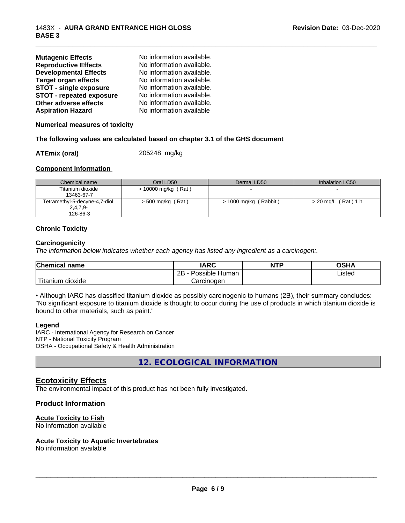| <b>Mutagenic Effects</b>        | No information available. |
|---------------------------------|---------------------------|
| <b>Reproductive Effects</b>     | No information available. |
| <b>Developmental Effects</b>    | No information available. |
| <b>Target organ effects</b>     | No information available. |
| <b>STOT - single exposure</b>   | No information available. |
| <b>STOT - repeated exposure</b> | No information available. |
| Other adverse effects           | No information available. |
| <b>Aspiration Hazard</b>        | No information available  |

**Numerical measures of toxicity**

#### **The following values are calculated based on chapter 3.1 of the GHS document**

#### **ATEmix (oral)** 205248 mg/kg

#### **Component Information**

| Chemical name                  | Oral LD50           | Dermal LD50           | Inhalation LC50     |
|--------------------------------|---------------------|-----------------------|---------------------|
| Titanium dioxide               | > 10000 mg/kg (Rat) |                       |                     |
| 13463-67-7                     |                     |                       |                     |
| Tetramethyl-5-decyne-4,7-diol, | > 500 mg/kg (Rat)   | > 1000 mg/kg (Rabbit) | > 20 mg/L (Rat) 1 h |
| $2,4,7,9-$                     |                     |                       |                     |
| 126-86-3                       |                     |                       |                     |

\_\_\_\_\_\_\_\_\_\_\_\_\_\_\_\_\_\_\_\_\_\_\_\_\_\_\_\_\_\_\_\_\_\_\_\_\_\_\_\_\_\_\_\_\_\_\_\_\_\_\_\_\_\_\_\_\_\_\_\_\_\_\_\_\_\_\_\_\_\_\_\_\_\_\_\_\_\_\_\_\_\_\_\_\_\_\_\_\_\_\_\_\_

#### **Chronic Toxicity**

#### **Carcinogenicity**

*The information below indicateswhether each agency has listed any ingredient as a carcinogen:.*

| <b>Chemical name</b>    | <b>IARC</b>               | <b>NTP</b> | <b>OSHA</b> |
|-------------------------|---------------------------|------------|-------------|
|                         | .<br>2B<br>Possible Human |            | Listed      |
| 'Titanium<br>m dioxide. | Carcinoɑen                |            |             |

• Although IARC has classified titanium dioxide as possibly carcinogenic to humans (2B), their summary concludes: "No significant exposure to titanium dioxide is thought to occur during the use of products in which titanium dioxide is bound to other materials, such as paint."

#### **Legend**

IARC - International Agency for Research on Cancer NTP - National Toxicity Program OSHA - Occupational Safety & Health Administration

**12. ECOLOGICAL INFORMATION**

#### **Ecotoxicity Effects**

The environmental impact of this product has not been fully investigated.

#### **Product Information**

#### **Acute Toxicity to Fish**

No information available

#### **Acute Toxicity to Aquatic Invertebrates**

No information available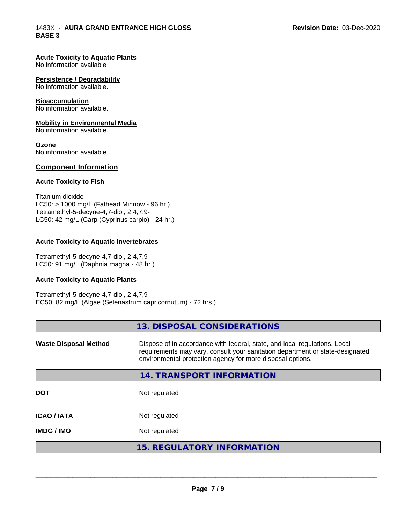\_\_\_\_\_\_\_\_\_\_\_\_\_\_\_\_\_\_\_\_\_\_\_\_\_\_\_\_\_\_\_\_\_\_\_\_\_\_\_\_\_\_\_\_\_\_\_\_\_\_\_\_\_\_\_\_\_\_\_\_\_\_\_\_\_\_\_\_\_\_\_\_\_\_\_\_\_\_\_\_\_\_\_\_\_\_\_\_\_\_\_\_\_

#### **Acute Toxicity to Aquatic Plants**

No information available

#### **Persistence / Degradability**

No information available.

#### **Bioaccumulation**

No information available.

#### **Mobility in Environmental Media**

No information available.

#### **Ozone**

No information available

#### **Component Information**

#### **Acute Toxicity to Fish**

Titanium dioxide  $LC50:$  > 1000 mg/L (Fathead Minnow - 96 hr.) Tetramethyl-5-decyne-4,7-diol, 2,4,7,9- LC50: 42 mg/L (Carp (Cyprinus carpio) - 24 hr.)

#### **Acute Toxicity to Aquatic Invertebrates**

Tetramethyl-5-decyne-4,7-diol, 2,4,7,9- LC50: 91 mg/L (Daphnia magna - 48 hr.)

#### **Acute Toxicity to Aquatic Plants**

Tetramethyl-5-decyne-4,7-diol, 2,4,7,9- EC50: 82 mg/L (Algae (Selenastrum capricornutum) - 72 hrs.)

|                              | 13. DISPOSAL CONSIDERATIONS                                                                                                                                                                                               |
|------------------------------|---------------------------------------------------------------------------------------------------------------------------------------------------------------------------------------------------------------------------|
| <b>Waste Disposal Method</b> | Dispose of in accordance with federal, state, and local regulations. Local<br>requirements may vary, consult your sanitation department or state-designated<br>environmental protection agency for more disposal options. |
|                              | 14. TRANSPORT INFORMATION                                                                                                                                                                                                 |
| <b>DOT</b>                   | Not regulated                                                                                                                                                                                                             |
| <b>ICAO/IATA</b>             | Not regulated                                                                                                                                                                                                             |
| <b>IMDG/IMO</b>              | Not regulated                                                                                                                                                                                                             |
|                              | 15. REGULATORY INFORMATION                                                                                                                                                                                                |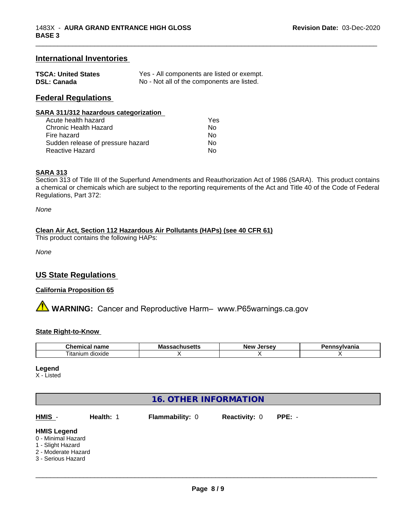### **International Inventories**

| <b>TSCA: United States</b> | Yes - All components are listed or exempt. |
|----------------------------|--------------------------------------------|
| <b>DSL: Canada</b>         | No - Not all of the components are listed. |

## **Federal Regulations**

| SARA 311/312 hazardous categorization |                            |
|---------------------------------------|----------------------------|
| المستوصف والملاحظ والمستحدث           | $\mathcal{L}_{\mathbf{a}}$ |

| Acute health hazard               | Yes |
|-----------------------------------|-----|
| Chronic Health Hazard             | Nο  |
| Fire hazard                       | Nο  |
| Sudden release of pressure hazard | Nο  |
| Reactive Hazard                   | Nο  |

#### **SARA 313**

Section 313 of Title III of the Superfund Amendments and Reauthorization Act of 1986 (SARA). This product contains a chemical or chemicals which are subject to the reporting requirements of the Act and Title 40 of the Code of Federal Regulations, Part 372:

\_\_\_\_\_\_\_\_\_\_\_\_\_\_\_\_\_\_\_\_\_\_\_\_\_\_\_\_\_\_\_\_\_\_\_\_\_\_\_\_\_\_\_\_\_\_\_\_\_\_\_\_\_\_\_\_\_\_\_\_\_\_\_\_\_\_\_\_\_\_\_\_\_\_\_\_\_\_\_\_\_\_\_\_\_\_\_\_\_\_\_\_\_

*None*

#### **Clean Air Act,Section 112 Hazardous Air Pollutants (HAPs) (see 40 CFR 61)**

This product contains the following HAPs:

*None*

## **US State Regulations**

#### **California Proposition 65**

**A** WARNING: Cancer and Reproductive Harm– www.P65warnings.ca.gov

#### **State Right-to-Know**

| ---<br>$\cdots$<br>name<br><br>u | м.<br>мю<br> | <b>Nev</b> | . |
|----------------------------------|--------------|------------|---|
| dioxide<br>I itanıum             |              |            |   |

**Legend**

X - Listed

| <b>16. OTHER INFORMATION</b>                                                                               |           |                        |                      |          |  |
|------------------------------------------------------------------------------------------------------------|-----------|------------------------|----------------------|----------|--|
| $HMIS -$                                                                                                   | Health: 1 | <b>Flammability: 0</b> | <b>Reactivity: 0</b> | $PPE: -$ |  |
| <b>HMIS Legend</b><br>0 - Minimal Hazard<br>1 - Slight Hazard<br>2 - Moderate Hazard<br>3 - Serious Hazard |           |                        |                      |          |  |